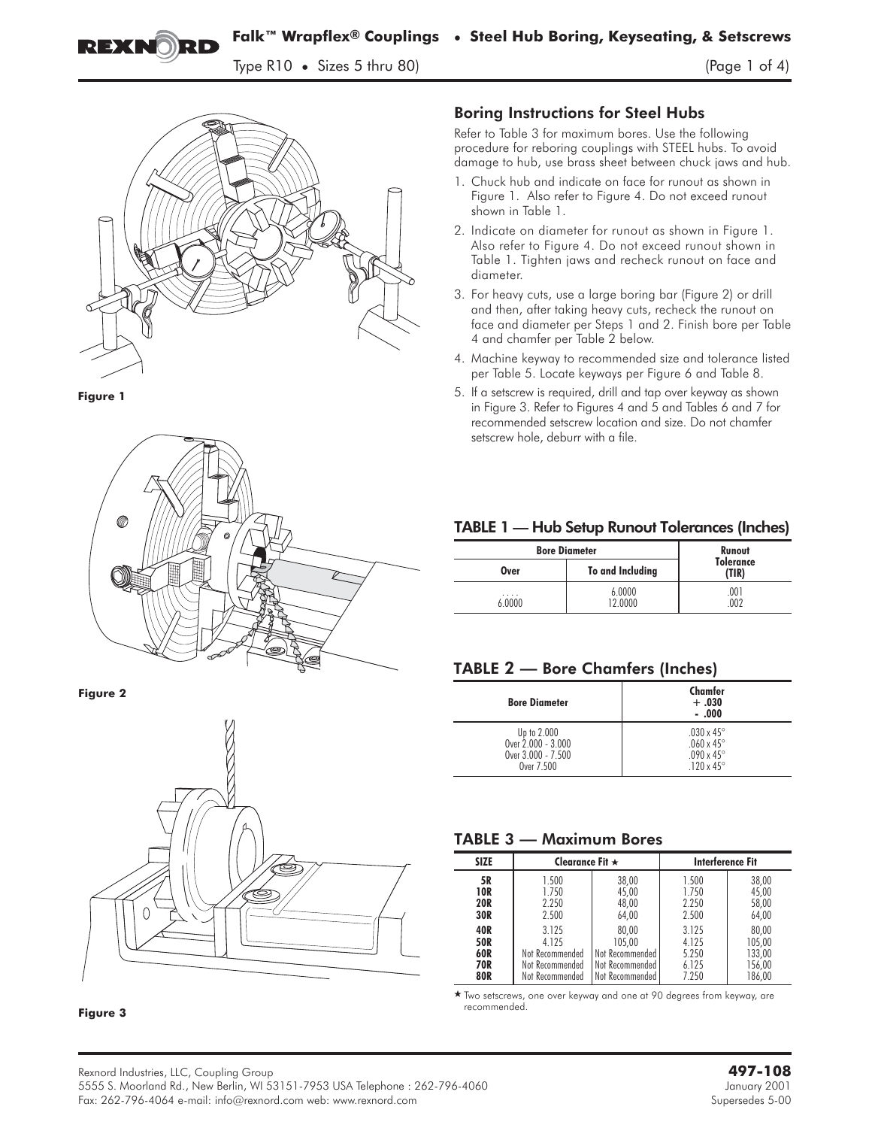**Falk™ Wrapflex® Couplings • Steel Hub Boring, Keyseating, & Setscrews**

 $T_{\rm P}$  ,  $T_{\rm P}$  ,  $T_{\rm P}$  ,  $T_{\rm P}$  of  $R_{\rm P}$  (Page 1 of  $4$ )





EXNORD



### **Figure 2**



**Figure 3**

## Boring Instructions for Steel Hubs

Refer to Table 3 for maximum bores. Use the following procedure for reboring couplings with STEEL hubs. To avoid damage to hub, use brass sheet between chuck jaws and hub.

- 1. Chuck hub and indicate on face for runout as shown in Figure 1. Also refer to Figure 4. Do not exceed runout shown in Table 1.
- 2. Indicate on diameter for runout as shown in Figure 1. Also refer to Figure 4. Do not exceed runout shown in Table 1. Tighten jaws and recheck runout on face and diameter.
- 3. For heavy cuts, use a large boring bar (Figure 2) or drill and then, after taking heavy cuts, recheck the runout on face and diameter per Steps 1 and 2. Finish bore per Table 4 and chamfer per Table 2 below.
- 4. Machine keyway to recommended size and tolerance listed per Table 5. Locate keyways per Figure 6 and Table 8.
- 5. If a setscrew is required, drill and tap over keyway as shown in Figure 3. Refer to Figures 4 and 5 and Tables 6 and 7 for recommended setscrew location and size. Do not chamfer setscrew hole, deburr with a file.

### TABLE 1 — Hub Setup Runout Tolerances (Inches)

| <b>Bore Diameter</b> | Runout            |                           |
|----------------------|-------------------|---------------------------|
| Over                 | To and Including  | <b>Tolerance</b><br>(TIR) |
| .<br>6.0000          | 6.0000<br>12.0000 | .001<br>002               |

### TABLE **2 — Bore Chamfers (Inches)**

| <b>Bore Diameter</b> | Chamfer<br>$+.030$<br>$-.000$ |
|----------------------|-------------------------------|
| Up to 2,000          | .030 x 45 $^{\circ}$          |
| Over 2.000 - 3.000   | .060 x 45°                    |
| Over 3.000 - 7.500   | .090 x 45 $^{\circ}$          |
| Over 7.500           | .120 x 45 $^{\circ}$          |

### TABLE 3 **— Maximum Bores**

| <b>SIZE</b> | Clearance Fit $\star$ |                 | <b>Interference Fit</b> |        |
|-------------|-----------------------|-----------------|-------------------------|--------|
| 5R          | 1.500                 | 38,00           | 1.500                   | 38,00  |
| 10R         | 1.750                 | 45,00           | 1.750                   | 45,00  |
| <b>20R</b>  | 2.250                 | 48,00           | 2.250                   | 58,00  |
| 30R         | 2.500                 | 64,00           | 2.500                   | 64,00  |
| 40R         | 3.125                 | 80,00           | 3.125                   | 80,00  |
| <b>50R</b>  | 4 1 2 5               | 105.00          | 4.125                   | 105,00 |
| 60R         | Not Recommended       | Not Recommended | 5.250                   | 133,00 |
| 70R         | Not Recommended       | Not Recommended | 6.125                   | 156,00 |
| 80R         | Not Recommended       | Not Recommended | 7.250                   | 186,00 |

- Two setscrews, one over keyway and one at 90 degrees from keyway, are recommended.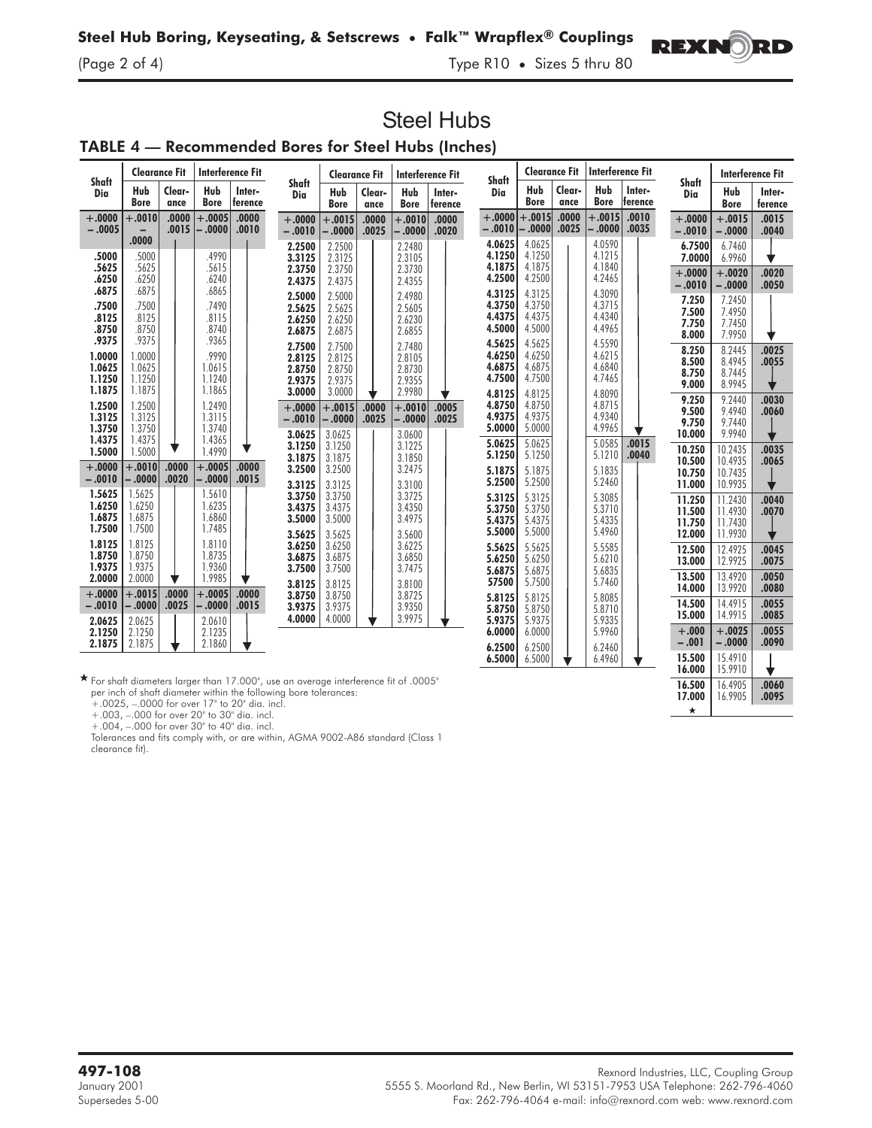$\frac{1}{2}$  of  $\frac{1}{2}$  of  $\frac{1}{2}$  of  $\frac{1}{2}$  is  $\frac{1}{2}$  three sizes  $\frac{1}{2}$  three sizes  $\frac{1}{2}$ 

# TABLE 4 — Recommended Bores for Steel Hubs (Inches)

| Shaft                                | <b>Clearance Fit</b>                 |                |                                      | <b>Interference Fit</b> |                                                | <b>Clearance Fit</b>                           |                | Interference Fit                               |                   | Shaft                                          | <b>Clearance Fit</b>                           |                | <b>Interference Fit</b>                        |                   |                                                |                                                     | <b>Interference Fit</b> |
|--------------------------------------|--------------------------------------|----------------|--------------------------------------|-------------------------|------------------------------------------------|------------------------------------------------|----------------|------------------------------------------------|-------------------|------------------------------------------------|------------------------------------------------|----------------|------------------------------------------------|-------------------|------------------------------------------------|-----------------------------------------------------|-------------------------|
| Dia                                  | Hub<br><b>Bore</b>                   | Clear-<br>ance | Hub<br><b>Bore</b>                   | Inter-<br>ference       | Shaft<br>Dia                                   | Hub<br><b>Bore</b>                             | Clear-<br>ance | Hub<br><b>Bore</b>                             | Inter-<br>ference | Dia                                            | Hub<br><b>Bore</b>                             | Clear-<br>ance | Hub<br><b>Bore</b>                             | Inter-<br>ference | <b>Shaft</b><br>Dia                            | Hub<br><b>Bore</b>                                  | Inter-<br>ference       |
| $+.0000$<br>$-.0005$                 | $+.0010$<br>.0000                    | .0000<br>.0015 | $+.0005$<br>$-0.000$                 | .0000<br>.0010          | $+.0000$<br>$-.0010$                           | $+.0015$<br>$-.0000$                           | .0000<br>.0025 | $+.0010$<br>$-.0000$                           | .0000<br>.0020    | $+.0000$<br>$-.0010$                           | $+.0015$<br>$-0.000$                           | .0000<br>.0025 | $+.0015$<br>∣0000. -                           | .0010<br>.0035    | $+.0000$<br>$-.0010$                           | $+.0015$<br>$-.0000$                                | .0015<br>.0040          |
| .5000<br>.5625                       | .5000<br>.5625                       |                | .4990<br>.5615                       |                         | 2.2500<br>3.3125<br>2.3750                     | 2.2500<br>2.3125<br>2.3750                     |                | 2.2480<br>2.3105<br>2.3730                     |                   | 4.0625<br>4.1250<br>4.1875                     | 4.0625<br>4.1250<br>4.1875                     |                | 4.0590<br>4.1215<br>4.1840                     |                   | 6.7500<br>7.0000<br>$+.0000$                   | 6.7460<br>6.9960<br>$+.0020$                        | .0020                   |
| .6250<br>.6875<br>.7500              | .6250<br>.6875<br>.7500              |                | .6240<br>.6865<br>.7490              |                         | 2.4375<br>2.5000                               | 2.4375<br>2.5000                               |                | 2.4355<br>2.4980                               |                   | 4.2500<br>4.3125<br>4.3750                     | 4.2500<br>4.3125<br>4.3750                     |                | 4.2465<br>4.3090<br>4.3715                     |                   | $-.0010$<br>7.250                              | $-.0000$<br>7.2450                                  | .0050                   |
| .8125<br>.8750<br>.9375              | .8125<br>.8750<br>.9375              |                | .8115<br>.8740<br>.9365              |                         | 2.5625<br>2.6250<br>2.6875                     | 2.5625<br>2.6250<br>2.6875                     |                | 2.5605<br>2.6230<br>2.6855                     |                   | 4.4375<br>4.5000                               | 4.4375<br>4.5000                               |                | 4.4340<br>4.4965                               |                   | 7.500<br>7.750<br>8.000                        | 7.4950<br>7.7450<br>7.9950                          |                         |
| 1.0000<br>1.0625<br>1.1250<br>1.1875 | 1.0000<br>1.0625<br>1.1250<br>1.1875 |                | 9990<br>1.0615<br>1.1240<br>1.1865   |                         | 2.7500<br>2.8125<br>2.8750<br>2.9375           | 2.7500<br>2.8125<br>2.8750<br>2.9375           |                | 2.7480<br>2.8105<br>2.8730<br>2.9355           |                   | 4.5625<br>4.6250<br>4.6875<br>4.7500           | 4.5625<br>4.6250<br>4.6875<br>4.7500           |                | 4.5590<br>4.6215<br>4.6840<br>4.7465           |                   | 8.250<br>8.500<br>8.750<br>9.000               | 8.2445<br>8.4945<br>8.7445<br>8.9945                | .0025<br>.0055          |
| 1.2500<br>1.3125<br>1.3750<br>1.4375 | 1.2500<br>1.3125<br>1.3750<br>1.4375 |                | 1.2490<br>1.3115<br>1.3740<br>1.4365 |                         | 3.0000<br>$+.0000 +$<br>$-.0010$<br>3.0625     | 3.0000<br>$+.0015$<br>$-.0000$<br>3.0625       | .0000<br>.0025 | 2.9980<br>$+.0010$<br>$-.0000$<br>3.0600       | .0005<br>.0025    | 4.8125<br>4.8750<br>4.9375<br>5.0000           | 4.8125<br>4.8750<br>4.9375<br>5.0000           |                | 4.8090<br>4.8715<br>4.9340<br>4.9965           |                   | 9.250<br>9.500<br>9.750<br>10.000              | 9.2440<br>9.4940<br>9.7440<br>9.9940                | .0030<br>.0060          |
| 1.5000<br>$+.0000$<br>$-.0010$       | 1.5000<br>$+.0010$<br>- .0000        | .0000<br>.0020 | 1.4990<br>$+.0005$<br>$-0000$        | ▼<br>.0000<br>.0015     | 3.1250<br>3.1875<br>3.2500                     | 3.1250<br>3.1875<br>3.2500                     |                | 3.1225<br>3.1850<br>3.2475                     |                   | 5.0625<br>5.1250<br>5.1875                     | 5.0625<br>5.1250<br>5.1875                     |                | 5.0585<br>5.1210<br>5.1835                     | .0015<br>.0040    | 10.250<br>10.500<br>10.750                     | 10.2435<br>10.4935<br>10.7435                       | .0035<br>.0065          |
| 1.5625<br>1.6250<br>1.6875<br>1.7500 | 1.5625<br>1.6250<br>1.6875<br>1.7500 |                | 1.5610<br>1.6235<br>1.6860<br>1.7485 |                         | 3.3125<br>3.3750<br>3.4375<br>3.5000<br>3.5625 | 3.3125<br>3.3750<br>3.4375<br>3.5000<br>3.5625 |                | 3.3100<br>3.3725<br>3.4350<br>3.4975<br>3.5600 |                   | 5.2500<br>5.3125<br>5.3750<br>5.4375<br>5.5000 | 5.2500<br>5.3125<br>5.3750<br>5.4375<br>5.5000 |                | 5.2460<br>5.3085<br>5.3710<br>5.4335<br>5.4960 |                   | 11.000<br>11.250<br>11.500<br>11.750<br>12.000 | 10.9935<br>11.2430<br>11.4930<br>11.7430<br>11.9930 | .0040<br>.0070          |
| 1.8125<br>1.8750<br>1.9375<br>2.0000 | 1.8125<br>1.8750<br>1.9375<br>2.0000 |                | 1.8110<br>1.8735<br>1.9360<br>1.9985 |                         | 3.6250<br>3.6875<br>3.7500<br>3.8125           | 3.6250<br>3.6875<br>3.7500<br>3.8125           |                | 3.6225<br>3.6850<br>3.7475<br>3.8100           |                   | 5.5625<br>5.6250<br>5.6875<br>57500            | 5.5625<br>5.6250<br>5.6875<br>5.7500           |                | 5.5585<br>5.6210<br>5.6835<br>5.7460           |                   | 12.500<br>13.000<br>13.500                     | 12.4925<br>12.9925<br>13.4920                       | .0045<br>.0075<br>.0050 |
| $+.0000$<br>$-.0010$<br>2.0625       | $+.0015$<br>$-.0000$<br>2.0625       | .0000<br>.0025 | $+.0005$<br>$-.0000$<br>2.0610       | .0000<br>.0015          | 3.8750<br>3.9375<br>4.0000                     | 3.8750<br>3.9375<br>4.0000                     |                | 3.8725<br>3.9350<br>3.9975                     |                   | 5.8125<br>5.8750<br>5.9375                     | 5.8125<br>5.8750<br>5.9375                     |                | 5.8085<br>5.8710<br>5.9335                     |                   | 14.000<br>14.500<br>15.000                     | 13.9920<br>14.4915<br>14.9915                       | .0080<br>.0055<br>.0085 |
| 2.1250<br>2.1875                     | 2.1250<br>2.1875                     |                | 2.1235<br>2.1860                     |                         |                                                |                                                |                |                                                |                   | 6.0000<br>6.2500                               | 6.0000<br>6.2500                               |                | 5.9960<br>6.2460                               |                   | $+.000$<br>$-.001$<br>15.500                   | $+.0025$<br>$-.0000$<br>15.4910                     | .0055<br>.0090          |
|                                      |                                      |                |                                      |                         |                                                |                                                |                |                                                |                   | 6.5000                                         | 6.5000                                         |                | 6.4960                                         |                   | 16.000                                         | 15.9910                                             | v                       |

**Steel Hubs**

 $\star$  For shaft diameters larger than 17.000", use an average interference fit of .0005" per inch of shaft diameter within the following bore tolerances:

+.0025, –.0000 for over 17" to 20" dia. incl.

+.003, –.000 for over 20" to 30" dia. incl.

+.004, –.000 for over 30" to 40" dia. incl.

Tolerances and fits comply with, or are within, AGMA 9002-A86 standard (Class 1 clearance fit).



16.500 16.4905 .0060<br>17.000 16.9905 .0095 16.9905

 $\star$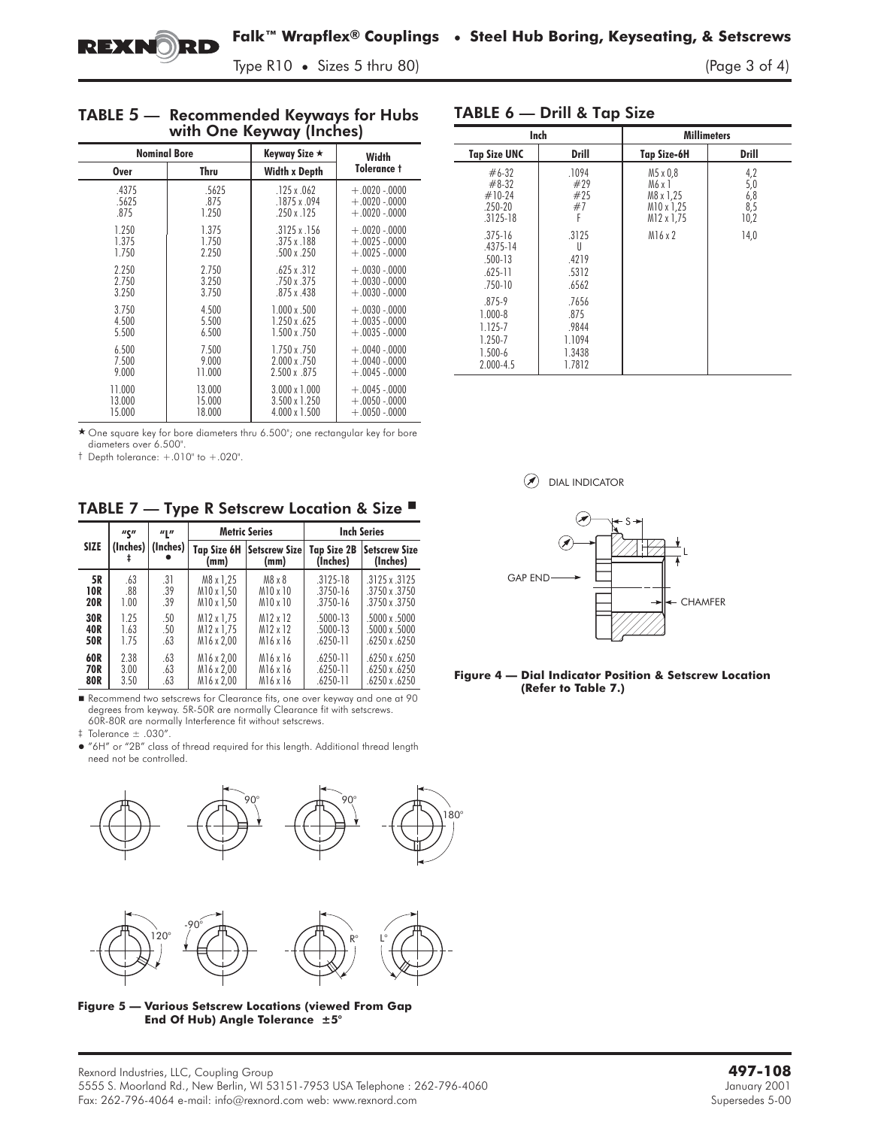$T_{\rm P}$  , and  $T_{\rm P}$  is the size  $\frac{1}{2}$ 

### TABLE **5** — Recommended Keyways for Hubs with One Keyway (Inches)

| <b>Nominal Bore</b> |        | Keyway Size ★        | Width          |
|---------------------|--------|----------------------|----------------|
| <b>Over</b>         | Thru   | <b>Width x Depth</b> | Tolerance t    |
| .4375               | .5625  | $.125 \times .062$   | $+.0020-.0000$ |
| .5625               | .875   | .1875 x .094         | $+.0020-.0000$ |
| .875                | 1.250  | $.250 \times .125$   | $+.0020-.0000$ |
| 1.250               | 1.375  | $.3125 \times .156$  | $+.0020-.0000$ |
| 1.375               | 1.750  | $.375 \times .188$   | $+.0025-.0000$ |
| 1.750               | 2.250  | $.500 \times .250$   | $+.0025-.0000$ |
| 2.250               | 2.750  | $.625 \times .312$   | $+.0030-.0000$ |
| 2.750               | 3.250  | .750 x .375          | $+.0030-.0000$ |
| 3.250               | 3.750  | $.875 \times .438$   | $+.0030-.0000$ |
| 3.750               | 4.500  | $1.000 \times .500$  | $+.0030-.0000$ |
| 4.500               | 5.500  | 1.250 x .625         | $+.0035-.0000$ |
| 5.500               | 6.500  | $1.500 \times .750$  | $+.0035-.0000$ |
| 6.500               | 7.500  | 1.750 x .750         | $+.0040-.0000$ |
| 7.500               | 9.000  | 2.000 x .750         | $+.0040-.0000$ |
| 9.000               | 11.000 | $2.500 \times 875$   | $+.0045-.0000$ |
| 11.000              | 13.000 | $3.000 \times 1.000$ | $+.0045-.0000$ |
| 13.000              | 15.000 | 3.500 x 1.250        | $+.0050-.0000$ |
| 15.000              | 18.000 | 4.000 x 1.500        | $+.0050-.0000$ |

\* One square key for bore diameters thru 6.500"; one rectangular key for bore diameters over 6.500".

† Depth tolerance: +.010" to +.020".

TABLE 7 — Type R Setscrew Location & Size <sup>■</sup>

|             | <b><i>u</i></b> | $\mathbf{u}$ $\mathbf{u}$<br>(Inches)   (Inches) |                            | <b>Metric Series</b>         | <b>Inch Series</b>      |                                  |  |
|-------------|-----------------|--------------------------------------------------|----------------------------|------------------------------|-------------------------|----------------------------------|--|
| <b>SIZE</b> |                 |                                                  | <b>Tap Size 6H</b><br>(mm) | <b>Setscrew Size</b><br>(mm) | Tap Size 2B<br>(Inches) | <b>Setscrew Size</b><br>(Inches) |  |
| 5R          | .63             | .31                                              | M8 x 1.25                  | M8 x 8                       | $.3125 - 18$            | $.3125 \times .3125$             |  |
| 10R         | .88             | .39                                              | M10 x 1.50                 | M10 x 10                     | $.3750 - 16$            | .3750 x .3750                    |  |
| <b>20R</b>  | 1.00            | .39                                              | M10 x 1.50                 | M10 x 10                     | .3750-16                | 3750 x 3750                      |  |
| 30R         | 1.25            | .50                                              | M12 x 1.75                 | M12 x 12                     | $.5000 - 13$            | $.5000 \times .5000$             |  |
| 40R         | 1.63            | .50                                              | M12 x 1.75                 | M12 x 12                     | .5000-13                | $.5000 \times .5000$             |  |
| 50R         | 1.75            | .63                                              | M16 x 2.00                 | M16 x 16                     | .6250-11                | $.6250 \times .6250$             |  |
| 60R         | 2.38            | .63                                              | M16 x 2,00                 | M <sub>16</sub> x 16         | $.6250 - 11$            | $.6250 \times .6250$             |  |
| 70R         | 3.00            | .63                                              | M16 x 2.00                 | M16 x 16                     | .6250-11                | .6250 x .6250                    |  |
| <b>80R</b>  | 3.50            | .63                                              | M16 x 2.00                 | M16 x 16                     | $.6250 - 11$            | .6250 x .6250                    |  |

Recommend two setscrews for Clearance fits, one over keyway and one at 90 degrees from keyway. 5R-50R are normally Clearance fit with setscrews. 60R-80R are normally Interference fit without setscrews.

‡ Tolerance ± .030".

 "6H" or "2B" class of thread required for this length. Additional thread length need not be controlled.



**Figure 5 — Various Setscrew Locations (viewed From Gap End Of Hub) Angle Tolerance ±5°**

### TABLE 6 — Drill & Tap Size

|                                                                                 | Inch                                                 |                                                             | <b>Millimeters</b>                   |
|---------------------------------------------------------------------------------|------------------------------------------------------|-------------------------------------------------------------|--------------------------------------|
| <b>Tap Size UNC</b>                                                             | Drill                                                | Tap Size-6H                                                 | <b>Drill</b>                         |
| $#6-32$<br>$#8-32$<br>$#10-24$<br>.250-20<br>$.3125 - 18$                       | .1094<br>#29<br>#25<br>#7<br>F                       | M5 x 0.8<br>M6 x 1<br>M8 x 1.25<br>M10 x 1,25<br>M12 x 1,75 | $^{4,2}_{5,0}$<br>6,8<br>8,5<br>10,2 |
| $.375 - 16$<br>$.4375 - 14$<br>$.500 - 13$<br>$.625 - 11$<br>$.750 - 10$        | .3125<br>$\mathsf{I}$<br>.4219<br>.5312<br>.6562     | $M16 \times 2$                                              | 14,0                                 |
| $.875 - 9$<br>$1.000 - 8$<br>1.125-7<br>1.250-7<br>$1.500 - 6$<br>$2.000 - 4.5$ | .7656<br>.875<br>.9844<br>1.1094<br>1.3438<br>1.7812 |                                                             |                                      |



**Figure 4 — Dial Indicator Position & Setscrew Location (Refer to Table 7.)**